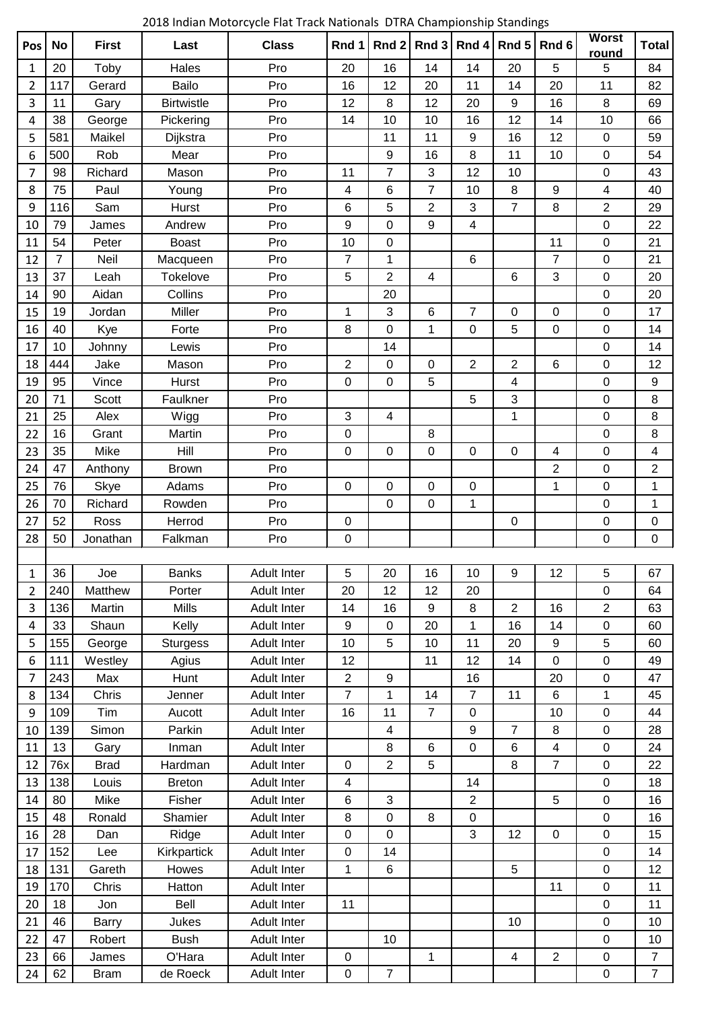2018 Indian Motorcycle Flat Track Nationals DTRA Championship Standings

| Pos            | <b>No</b>      | <b>First</b> | Last                  | <b>Class</b>       | Rnd 1                   | Rnd 2            | Rnd 3                   | Rnd 4          | Rnd 5            | Rnd <sub>6</sub> | <b>Worst</b><br>round    | <b>Total</b>   |
|----------------|----------------|--------------|-----------------------|--------------------|-------------------------|------------------|-------------------------|----------------|------------------|------------------|--------------------------|----------------|
| 1              | 20             | Toby         | Hales                 | Pro                | 20                      | 16               | 14                      | 14             | 20               | 5                | 5                        | 84             |
| 2              | 117            | Gerard       | Bailo                 | Pro                | 16                      | 12               | 20                      | 11             | 14               | 20               | 11                       | 82             |
| 3              | 11             | Gary         | <b>Birtwistle</b>     | Pro                | 12                      | 8                | 12                      | 20             | 9                | 16               | 8                        | 69             |
| 4              | 38             | George       | Pickering             | Pro                | 14                      | 10               | 10                      | 16             | 12               | 14               | 10                       | 66             |
| 5              | 581            | Maikel       | Dijkstra              | Pro                |                         | 11               | 11                      | 9              | 16               | 12               | $\pmb{0}$                | 59             |
| 6              | 500            | Rob          | Mear                  | Pro                |                         | $\boldsymbol{9}$ | 16                      | 8              | 11               | 10               | $\pmb{0}$                | 54             |
| $\overline{7}$ | 98             | Richard      | Mason                 | Pro                | 11                      | $\overline{7}$   | 3                       | 12             | 10               |                  | 0                        | 43             |
| 8              | 75             | Paul         | Young                 | Pro                | 4                       | 6                | $\overline{7}$          | 10             | 8                | 9                | $\overline{\mathcal{A}}$ | 40             |
| 9              | 116            | Sam          | <b>Hurst</b>          | Pro                | 6                       | 5                | $\overline{2}$          | 3              | $\overline{7}$   | 8                | $\overline{2}$           | 29             |
| 10             | 79             | James        | Andrew                | Pro                | 9                       | 0                | 9                       | 4              |                  |                  | $\pmb{0}$                | 22             |
| 11             | 54             | Peter        | <b>Boast</b>          | Pro                | 10                      | $\pmb{0}$        |                         |                |                  | 11               | $\mathbf 0$              | 21             |
| 12             | $\overline{7}$ | Neil         | Macqueen              | Pro                | 7                       | 1                |                         | $6\phantom{1}$ |                  | $\overline{7}$   | $\pmb{0}$                | 21             |
| 13             | 37             | Leah         | Tokelove              | Pro                | 5                       | $\overline{2}$   | $\overline{\mathbf{4}}$ |                | 6                | 3                | $\pmb{0}$                | 20             |
| 14             | 90             | Aidan        | Collins               | Pro                |                         | 20               |                         |                |                  |                  | $\mathbf 0$              | 20             |
| 15             | 19             | Jordan       | Miller                | Pro                | 1                       | 3                | 6                       | 7              | 0                | $\mathbf 0$      | 0                        | 17             |
| 16             | 40             | Kye          | Forte                 | Pro                | 8                       | 0                | $\mathbf{1}$            | 0              | 5                | $\mathbf 0$      | 0                        | 14             |
| 17             | 10             | Johnny       | Lewis                 | Pro                |                         | 14               |                         |                |                  |                  | $\pmb{0}$                | 14             |
| 18             | 444            | Jake         | Mason                 | Pro                | $\overline{2}$          | $\pmb{0}$        | 0                       | $\overline{2}$ | 2                | 6                | $\pmb{0}$                | 12             |
| 19             | 95             | Vince        | Hurst                 | Pro                | $\mathbf 0$             | 0                | 5                       |                | 4                |                  | 0                        | 9              |
| 20             | 71             | Scott        | Faulkner              | Pro                |                         |                  |                         | 5              | 3                |                  | $\mathbf 0$              | 8              |
| 21             | 25             | Alex         | Wigg                  | Pro                | 3                       | 4                |                         |                | 1                |                  | 0                        | 8              |
| 22             | 16             | Grant        | Martin                | Pro                | 0                       |                  | 8                       |                |                  |                  | $\pmb{0}$                | 8              |
| 23             | 35             | Mike         | Hill                  | Pro                | $\mathbf 0$             | $\mathbf 0$      | 0                       | 0              | $\mathbf 0$      | 4                | $\pmb{0}$                | 4              |
| 24             | 47             | Anthony      | <b>Brown</b>          | Pro                |                         |                  |                         |                |                  | $\overline{2}$   | $\pmb{0}$                | $\overline{2}$ |
| 25             | 76             | <b>Skye</b>  | Adams                 | Pro                | $\mathbf 0$             | $\pmb{0}$        | 0                       | 0              |                  | 1                | $\mathbf 0$              | 1              |
| 26             | 70             | Richard      | Rowden                | Pro                |                         | $\mathbf 0$      | 0                       | 1              |                  |                  | 0                        | 1              |
| 27             | 52             | Ross         | Herrod                | Pro                | 0                       |                  |                         |                | 0                |                  | 0                        | $\mathbf 0$    |
| 28             | 50             | Jonathan     | Falkman               | Pro                | $\mathbf 0$             |                  |                         |                |                  |                  | 0                        | $\overline{0}$ |
|                |                |              |                       |                    |                         |                  |                         |                |                  |                  |                          |                |
| 1              | 36             | Joe          | <b>Banks</b>          | <b>Adult Inter</b> | 5                       | 20               | 16                      | 10             | $\boldsymbol{9}$ | 12               | 5                        | 67             |
| $\overline{2}$ | 240            | Matthew      | Porter                | <b>Adult Inter</b> | 20                      | 12               | 12                      | 20             |                  |                  | 0                        | 64             |
| 3              | 136            | Martin       | <b>Mills</b>          | Adult Inter        | 14                      | 16               | 9                       | 8              | $\overline{2}$   | 16               | $\overline{2}$           | 63             |
| 4              | 33             | Shaun        | Kelly                 | Adult Inter        | 9                       | $\mathbf 0$      | 20                      | 1              | 16               | 14               | $\pmb{0}$                | 60             |
| 5              | 155            | George       | <b>Sturgess</b>       | <b>Adult Inter</b> | 10                      | 5                | 10                      | 11             | 20               | $\boldsymbol{9}$ | $\sqrt{5}$               | 60             |
| 6              | 111            | Westley      | Agius                 | <b>Adult Inter</b> | 12                      |                  | 11                      | 12             | 14               | $\mathbf 0$      | 0                        | 49             |
| $\overline{7}$ | 243            | Max          | Hunt                  | <b>Adult Inter</b> | $\overline{c}$          | 9                |                         | 16             |                  | 20               | $\pmb{0}$                | 47             |
| 8              | 134            | Chris        | Jenner                | <b>Adult Inter</b> | $\overline{7}$          | 1                | 14                      | $\overline{7}$ | 11               | 6                | $\mathbf{1}$             | 45             |
| 9              | 109            | Tim          | Aucott                | <b>Adult Inter</b> | 16                      | 11               | $\overline{7}$          | 0              |                  | 10               | $\pmb{0}$                | 44             |
| 10             | 139            | Simon        | Parkin                | <b>Adult Inter</b> |                         | 4                |                         | 9              | 7                | 8                | $\pmb{0}$                | 28             |
| 11             | 13             | Gary         | Inman                 | <b>Adult Inter</b> |                         | 8                | 6                       | 0              | 6                | 4                | 0                        | 24             |
| 12             | 76x            | <b>Brad</b>  | Hardman               | <b>Adult Inter</b> | $\pmb{0}$               | $\overline{2}$   | 5                       |                | 8                | $\overline{7}$   | 0                        | 22             |
| 13             | 138            | Louis        | <b>Breton</b>         | <b>Adult Inter</b> | $\overline{\mathbf{4}}$ |                  |                         | 14             |                  |                  | $\pmb{0}$                | 18             |
| 14             | 80             | Mike         | Fisher                | Adult Inter        | 6                       | 3                |                         | $\overline{2}$ |                  | 5                | $\pmb{0}$                | 16             |
| 15             | 48             | Ronald       | Shamier               | <b>Adult Inter</b> | 8                       | $\pmb{0}$        | 8                       | 0              |                  |                  | $\pmb{0}$                | 16             |
| 16             | 28             | Dan          | Ridge                 | <b>Adult Inter</b> | $\mathbf 0$             | 0                |                         | 3              | 12               | $\mathbf 0$      | 0                        | 15             |
| 17             | 152            | Lee          | Kirkpartick           | <b>Adult Inter</b> | $\pmb{0}$               | 14               |                         |                |                  |                  | $\mathbf 0$              | 14             |
| 18             | 131            | Gareth       | Howes                 | <b>Adult Inter</b> | $\mathbf{1}$            | 6                |                         |                | 5                |                  | $\mathbf 0$              | 12             |
| 19             | 170            | Chris        | Hatton                | <b>Adult Inter</b> |                         |                  |                         |                |                  | 11               | $\pmb{0}$                | 11             |
| 20             | 18             | Jon          | Bell                  | <b>Adult Inter</b> | 11                      |                  |                         |                |                  |                  | $\pmb{0}$                | 11             |
| 21             | 46             | Barry        | Jukes                 | <b>Adult Inter</b> |                         |                  |                         |                | 10               |                  | 0                        | 10             |
|                | 47             |              |                       | Adult Inter        |                         | 10               |                         |                |                  |                  | $\pmb{0}$                | 10             |
| 22<br>23       | 66             | Robert       | <b>Bush</b><br>O'Hara | <b>Adult Inter</b> | $\pmb{0}$               |                  | 1                       |                | $\overline{4}$   | $\mathbf{2}$     | $\pmb{0}$                | $\overline{7}$ |
| 24             | 62             | James        | de Roeck              | <b>Adult Inter</b> | $\pmb{0}$               | $\overline{7}$   |                         |                |                  |                  | $\pmb{0}$                | $\overline{7}$ |
|                |                | <b>Bram</b>  |                       |                    |                         |                  |                         |                |                  |                  |                          |                |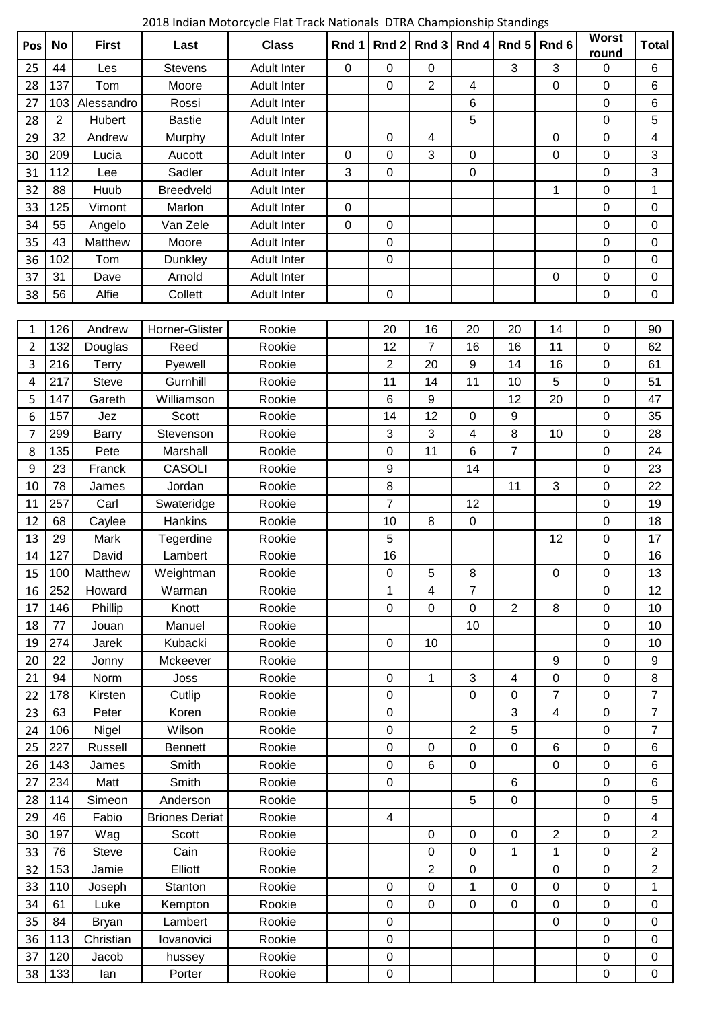2018 Indian Motorcycle Flat Track Nationals DTRA Championship Standings

| Pos | <b>No</b>      | <b>First</b> | Last                  | <b>Class</b>       | Rnd 1       | Rnd <sub>2</sub> | Rnd 3                   | Rnd 4            | Rnd 5          | Rnd <sub>6</sub>        | <b>Worst</b><br>round | <b>Total</b>            |
|-----|----------------|--------------|-----------------------|--------------------|-------------|------------------|-------------------------|------------------|----------------|-------------------------|-----------------------|-------------------------|
| 25  | 44             | Les          | <b>Stevens</b>        | <b>Adult Inter</b> | 0           | 0                | 0                       |                  | 3              | 3                       | 0                     | 6                       |
| 28  | 137            | Tom          | Moore                 | <b>Adult Inter</b> |             | 0                | $\overline{2}$          | 4                |                | 0                       | 0                     | 6                       |
| 27  | 103            | Alessandro   | Rossi                 | <b>Adult Inter</b> |             |                  |                         | 6                |                |                         | 0                     | 6                       |
| 28  | $\overline{2}$ | Hubert       | <b>Bastie</b>         | <b>Adult Inter</b> |             |                  |                         | 5                |                |                         | 0                     | 5                       |
| 29  | 32             | Andrew       | Murphy                | <b>Adult Inter</b> |             | 0                | 4                       |                  |                | 0                       | 0                     | 4                       |
| 30  | 209            | Lucia        | Aucott                | <b>Adult Inter</b> | $\mathbf 0$ | 0                | 3                       | $\mathbf 0$      |                | 0                       | 0                     | 3                       |
| 31  | 112            | Lee          | Sadler                | <b>Adult Inter</b> | 3           | $\mathbf 0$      |                         | $\mathbf 0$      |                |                         | 0                     | 3                       |
| 32  | 88             | Huub         | <b>Breedveld</b>      | <b>Adult Inter</b> |             |                  |                         |                  |                | 1                       | 0                     | 1                       |
| 33  | 125            | Vimont       | Marlon                | <b>Adult Inter</b> | 0           |                  |                         |                  |                |                         | 0                     | 0                       |
| 34  | 55             | Angelo       | Van Zele              | <b>Adult Inter</b> | $\mathbf 0$ | $\boldsymbol{0}$ |                         |                  |                |                         | 0                     | 0                       |
| 35  | 43             | Matthew      | Moore                 | <b>Adult Inter</b> |             | $\boldsymbol{0}$ |                         |                  |                |                         | 0                     | 0                       |
| 36  | 102            | Tom          | Dunkley               | <b>Adult Inter</b> |             | 0                |                         |                  |                |                         | 0                     | 0                       |
| 37  | 31             | Dave         | Arnold                | <b>Adult Inter</b> |             |                  |                         |                  |                | 0                       | 0                     | 0                       |
| 38  | 56             | Alfie        | Collett               | <b>Adult Inter</b> |             | $\mathbf 0$      |                         |                  |                |                         | 0                     | 0                       |
|     |                |              |                       |                    |             |                  |                         |                  |                |                         |                       |                         |
| 1   | 126            | Andrew       | Horner-Glister        | Rookie             |             | 20               | 16                      | 20               | 20             | 14                      | 0                     | 90                      |
| 2   | 132            | Douglas      | Reed                  | Rookie             |             | 12               | $\overline{7}$          | 16               | 16             | 11                      | $\boldsymbol{0}$      | 62                      |
| 3   | 216            | Terry        | Pyewell               | Rookie             |             | $\overline{2}$   | 20                      | $\boldsymbol{9}$ | 14             | 16                      | $\boldsymbol{0}$      | 61                      |
| 4   | 217            | Steve        | Gurnhill              | Rookie             |             | 11               | 14                      | 11               | 10             | 5                       | 0                     | 51                      |
| 5   | 147            | Gareth       | Williamson            | Rookie             |             | 6                | 9                       |                  | 12             | 20                      | 0                     | 47                      |
| 6   | 157            | Jez          | <b>Scott</b>          | Rookie             |             | 14               | 12                      | 0                | 9              |                         | 0                     | 35                      |
| 7   | 299            | <b>Barry</b> | Stevenson             | Rookie             |             | 3                | 3                       | 4                | 8              | 10                      | 0                     | 28                      |
| 8   | 135            | Pete         | Marshall              | Rookie             |             | 0                | 11                      | $6\phantom{1}$   | $\overline{7}$ |                         | 0                     | 24                      |
| 9   | 23             | Franck       | <b>CASOLI</b>         | Rookie             |             | $\boldsymbol{9}$ |                         | 14               |                |                         | 0                     | 23                      |
| 10  | 78             | James        | Jordan                | Rookie             |             | 8                |                         |                  | 11             | 3                       | 0                     | 22                      |
| 11  | 257            | Carl         | Swateridge            | Rookie             |             | $\overline{7}$   |                         | 12               |                |                         | 0                     | 19                      |
| 12  | 68             | Caylee       | <b>Hankins</b>        | Rookie             |             | 10               | 8                       | 0                |                |                         | 0                     | 18                      |
| 13  | 29             | Mark         | Tegerdine             | Rookie             |             | 5                |                         |                  |                | 12                      | 0                     | 17                      |
| 14  | 127            | David        | Lambert               | Rookie             |             | 16               |                         |                  |                |                         | 0                     | 16                      |
| 15  | 100            | Matthew      | Weightman             | Rookie             |             | 0                | 5                       | 8                |                | $\pmb{0}$               | 0                     | 13                      |
| 16  | 252            | Howard       | Warman                | Rookie             |             | 1                | $\overline{\mathbf{4}}$ | $\overline{7}$   |                |                         | $\boldsymbol{0}$      | 12                      |
| 17  | 146            | Phillip      | Knott                 | Rookie             |             | 0                | $\pmb{0}$               | $\mathbf 0$      | $\overline{2}$ | 8                       | 0                     | 10                      |
| 18  | 77             | Jouan        | Manuel                | Rookie             |             |                  |                         | 10               |                |                         | 0                     | 10                      |
| 19  | 274            | Jarek        | Kubacki               | Rookie             |             | 0                | 10                      |                  |                |                         | 0                     | 10                      |
| 20  | 22             | Jonny        | Mckeever              | Rookie             |             |                  |                         |                  |                | 9                       | $\mathbf 0$           | $\boldsymbol{9}$        |
| 21  | 94             | Norm         | Joss                  | Rookie             |             | 0                | 1                       | 3                | 4              | $\pmb{0}$               | $\pmb{0}$             | 8                       |
| 22  | 178            | Kirsten      | Cutlip                | Rookie             |             | 0                |                         | $\pmb{0}$        | 0              | $\overline{7}$          | $\boldsymbol{0}$      | $\overline{7}$          |
| 23  | 63             | Peter        | Koren                 | Rookie             |             | 0                |                         |                  | 3              | $\overline{\mathbf{4}}$ | $\boldsymbol{0}$      | $\overline{7}$          |
| 24  | 106            | Nigel        | Wilson                | Rookie             |             | 0                |                         | $\overline{2}$   | 5              |                         | 0                     | $\overline{7}$          |
| 25  | 227            | Russell      | <b>Bennett</b>        | Rookie             |             | 0                | 0                       | $\mathbf 0$      | 0              | 6                       | 0                     | 6                       |
| 26  | 143            | James        | Smith                 | Rookie             |             | 0                | 6                       | $\pmb{0}$        |                | 0                       | 0                     | 6                       |
| 27  | 234            | Matt         | Smith                 | Rookie             |             | $\boldsymbol{0}$ |                         |                  | 6              |                         | $\boldsymbol{0}$      | 6                       |
| 28  | 114            | Simeon       | Anderson              | Rookie             |             |                  |                         | 5                | $\pmb{0}$      |                         | $\boldsymbol{0}$      | 5                       |
| 29  | 46             | Fabio        | <b>Briones Deriat</b> | Rookie             |             | 4                |                         |                  |                |                         | $\boldsymbol{0}$      | 4                       |
| 30  | 197            | Wag          | <b>Scott</b>          | Rookie             |             |                  | 0                       | $\mathbf 0$      | 0              | $\overline{2}$          | $\boldsymbol{0}$      | $\overline{2}$          |
| 33  | 76             | <b>Steve</b> | Cain                  | Rookie             |             |                  | 0                       | $\mathbf 0$      | 1              | 1                       | 0                     | $\overline{\mathbf{c}}$ |
| 32  | 153            | Jamie        | Elliott               | Rookie             |             |                  | $\overline{2}$          | $\mathbf 0$      |                | 0                       | 0                     | $\overline{\mathbf{c}}$ |
| 33  | 110            | Joseph       | Stanton               | Rookie             |             | 0                | 0                       | 1                | 0              | 0                       | $\pmb{0}$             | $\mathbf 1$             |
| 34  | 61             | Luke         | Kempton               | Rookie             |             | 0                | $\mathbf 0$             | $\pmb{0}$        | 0              | $\boldsymbol{0}$        | $\boldsymbol{0}$      | 0                       |
| 35  | 84             | <b>Bryan</b> | Lambert               | Rookie             |             | 0                |                         |                  |                | 0                       | 0                     | 0                       |
| 36  | 113            | Christian    | lovanovici            | Rookie             |             | 0                |                         |                  |                |                         | 0                     | 0                       |
| 37  | 120            | Jacob        | hussey                | Rookie             |             | 0                |                         |                  |                |                         | 0                     | 0                       |
| 38  | 133            | lan          | Porter                | Rookie             |             | $\boldsymbol{0}$ |                         |                  |                |                         | 0                     | 0                       |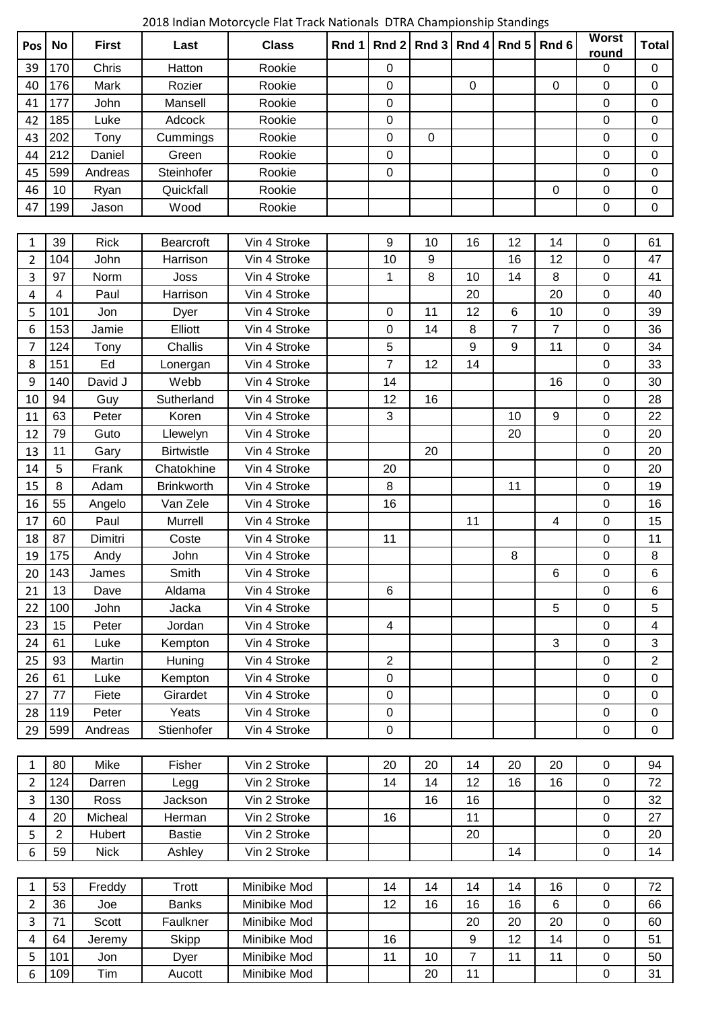2018 Indian Motorcycle Flat Track Nationals DTRA Championship Standings

| Pos            | <b>No</b>               | <b>First</b> | Last              | <b>Class</b> | Rnd 1 |                  | Rnd 2 Rnd 3 Rnd 4 |                | Rnd 5           | Rnd 6            | <b>Worst</b><br>round | <b>Total</b>            |
|----------------|-------------------------|--------------|-------------------|--------------|-------|------------------|-------------------|----------------|-----------------|------------------|-----------------------|-------------------------|
| 39             | 170                     | Chris        | Hatton            | Rookie       |       | 0                |                   |                |                 |                  | 0                     | $\pmb{0}$               |
| 40             | 176                     | Mark         | Rozier            | Rookie       |       | $\mathbf 0$      |                   | $\mathbf 0$    |                 | $\mathbf 0$      | $\mathbf 0$           | $\mathbf 0$             |
| 41             | 177                     | John         | Mansell           | Rookie       |       | $\boldsymbol{0}$ |                   |                |                 |                  | $\mathbf 0$           | $\pmb{0}$               |
| 42             | 185                     | Luke         | Adcock            | Rookie       |       | $\boldsymbol{0}$ |                   |                |                 |                  | $\mathbf 0$           | 0                       |
| 43             | 202                     | Tony         | Cummings          | Rookie       |       | $\mathbf 0$      | 0                 |                |                 |                  | $\mathbf 0$           | 0                       |
| 44             | 212                     | Daniel       | Green             | Rookie       |       | $\boldsymbol{0}$ |                   |                |                 |                  | $\mathbf 0$           | 0                       |
| 45             | 599                     | Andreas      | Steinhofer        | Rookie       |       | $\mathbf 0$      |                   |                |                 |                  | $\mathbf 0$           | $\mathbf 0$             |
| 46             | 10                      | Ryan         | Quickfall         | Rookie       |       |                  |                   |                |                 | $\pmb{0}$        | $\pmb{0}$             | 0                       |
| 47             | 199                     | Jason        | Wood              | Rookie       |       |                  |                   |                |                 |                  | $\mathbf 0$           | $\mathbf 0$             |
|                |                         |              |                   |              |       |                  |                   |                |                 |                  |                       |                         |
| 1              | 39                      | <b>Rick</b>  | Bearcroft         | Vin 4 Stroke |       | 9                | 10                | 16             | 12              | 14               | $\mathbf 0$           | 61                      |
| $\overline{2}$ | 104                     | John         | Harrison          | Vin 4 Stroke |       | 10               | 9                 |                | 16              | 12               | $\mathbf 0$           | 47                      |
| 3              | 97                      | Norm         | Joss              | Vin 4 Stroke |       | 1                | 8                 | 10             | 14              | 8                | $\mathbf 0$           | 41                      |
| 4              | $\overline{\mathbf{4}}$ | Paul         | Harrison          | Vin 4 Stroke |       |                  |                   | 20             |                 | 20               | $\pmb{0}$             | 40                      |
| 5              | 101                     | Jon          | Dyer              | Vin 4 Stroke |       | $\mathbf 0$      | 11                | 12             | $6\phantom{1}6$ | 10               | $\mathbf 0$           | 39                      |
| 6              | 153                     | Jamie        | Elliott           | Vin 4 Stroke |       | $\mathbf 0$      | 14                | 8              | $\overline{7}$  | $\overline{7}$   | $\mathbf 0$           | 36                      |
| 7              | 124                     | Tony         | Challis           | Vin 4 Stroke |       | 5                |                   | 9              | 9               | 11               | $\mathbf 0$           | 34                      |
| 8              | 151                     | Ed           | Lonergan          | Vin 4 Stroke |       | $\overline{7}$   | 12                | 14             |                 |                  | $\mathbf 0$           | 33                      |
| 9              | 140                     | David J      | Webb              | Vin 4 Stroke |       | 14               |                   |                |                 | 16               | $\mathbf 0$           | 30                      |
| 10             | 94                      | Guy          | Sutherland        | Vin 4 Stroke |       | 12               | 16                |                |                 |                  | $\mathbf 0$           | 28                      |
| 11             | 63                      | Peter        | Koren             | Vin 4 Stroke |       | 3                |                   |                | 10              | $\boldsymbol{9}$ | $\mathbf 0$           | 22                      |
| 12             | 79                      | Guto         | Llewelyn          | Vin 4 Stroke |       |                  |                   |                | 20              |                  | $\mathbf 0$           | 20                      |
| 13             | 11                      | Gary         | <b>Birtwistle</b> | Vin 4 Stroke |       |                  | 20                |                |                 |                  | $\pmb{0}$             | 20                      |
| 14             | 5                       | Frank        | Chatokhine        | Vin 4 Stroke |       | 20               |                   |                |                 |                  | $\mathbf 0$           | 20                      |
| 15             | 8                       | Adam         | <b>Brinkworth</b> | Vin 4 Stroke |       | 8                |                   |                | 11              |                  | $\mathbf 0$           | 19                      |
| 16             | 55                      | Angelo       | Van Zele          | Vin 4 Stroke |       | 16               |                   |                |                 |                  | $\mathbf 0$           | 16                      |
| 17             | 60                      | Paul         | Murrell           | Vin 4 Stroke |       |                  |                   | 11             |                 | 4                | $\pmb{0}$             | 15                      |
| 18             | 87                      | Dimitri      | Coste             | Vin 4 Stroke |       | 11               |                   |                |                 |                  | $\pmb{0}$             | 11                      |
| 19             | 175                     | Andy         | John              | Vin 4 Stroke |       |                  |                   |                | 8               |                  | $\pmb{0}$             | 8                       |
| 20             | 143                     | James        | Smith             | Vin 4 Stroke |       |                  |                   |                |                 | 6                | 0                     | 6                       |
| 21             | 13                      | Dave         | Aldama            | Vin 4 Stroke |       | 6                |                   |                |                 |                  | $\mathbf 0$           | $6\phantom{1}$          |
| 22             | 100                     | John         | Jacka             | Vin 4 Stroke |       |                  |                   |                |                 | 5                | $\mathbf 0$           | 5                       |
| 23             | 15                      | Peter        | Jordan            | Vin 4 Stroke |       | 4                |                   |                |                 |                  | $\boldsymbol{0}$      | $\overline{\mathbf{4}}$ |
| 24             | 61                      | Luke         | Kempton           | Vin 4 Stroke |       |                  |                   |                |                 | 3                | $\mathbf 0$           | 3                       |
| 25             | 93                      | Martin       | Huning            | Vin 4 Stroke |       | 2                |                   |                |                 |                  | $\pmb{0}$             | $\overline{2}$          |
| 26             | 61                      | Luke         | Kempton           | Vin 4 Stroke |       | 0                |                   |                |                 |                  | $\mathbf 0$           | 0                       |
| 27             | 77                      | Fiete        | Girardet          | Vin 4 Stroke |       | 0                |                   |                |                 |                  | 0                     | 0                       |
| 28             | 119                     | Peter        | Yeats             | Vin 4 Stroke |       | $\mathbf 0$      |                   |                |                 |                  | $\mathbf 0$           | $\mathbf 0$             |
| 29             | 599                     | Andreas      | Stienhofer        | Vin 4 Stroke |       | 0                |                   |                |                 |                  | $\pmb{0}$             | $\pmb{0}$               |
|                |                         |              |                   |              |       |                  |                   |                |                 |                  |                       |                         |
| 1              | 80                      | Mike         | Fisher            | Vin 2 Stroke |       | 20               | 20                | 14             | 20              | 20               | $\mathbf 0$           | 94                      |
| $\overline{2}$ | 124                     | Darren       | Legg              | Vin 2 Stroke |       | 14               | 14                | 12             | 16              | 16               | $\pmb{0}$             | 72                      |
| 3              | 130                     | Ross         | Jackson           | Vin 2 Stroke |       |                  | 16                | 16             |                 |                  | $\mathbf 0$           | 32                      |
| 4              | 20                      | Micheal      | Herman            | Vin 2 Stroke |       | 16               |                   | 11             |                 |                  | 0                     | 27                      |
| 5              | $\overline{2}$          | Hubert       | <b>Bastie</b>     | Vin 2 Stroke |       |                  |                   | 20             |                 |                  | $\pmb{0}$             | 20                      |
| 6              | 59                      | <b>Nick</b>  | Ashley            | Vin 2 Stroke |       |                  |                   |                | 14              |                  | $\mathbf 0$           | 14                      |
|                |                         |              |                   |              |       |                  |                   |                |                 |                  |                       |                         |
| $\mathbf{1}$   | 53                      | Freddy       | Trott             | Minibike Mod |       | 14               | 14                | 14             | 14              | 16               | $\pmb{0}$             | 72                      |
| 2              | 36                      | Joe          | <b>Banks</b>      | Minibike Mod |       | 12               | 16                | 16             | 16              | $\,6$            | $\pmb{0}$             | 66                      |
| 3              | 71                      | Scott        | Faulkner          | Minibike Mod |       |                  |                   | 20             | 20              | 20               | $\mathbf 0$           | 60                      |
| 4              | 64                      | Jeremy       | <b>Skipp</b>      | Minibike Mod |       | 16               |                   | 9              | 12              | 14               | $\pmb{0}$             | 51                      |
| 5              | 101                     | Jon          | Dyer              | Minibike Mod |       | 11               | 10                | $\overline{7}$ | 11              | 11               | $\boldsymbol{0}$      | 50                      |
| 6              | 109                     | Tim          | Aucott            | Minibike Mod |       |                  | 20                | 11             |                 |                  | $\pmb{0}$             | 31                      |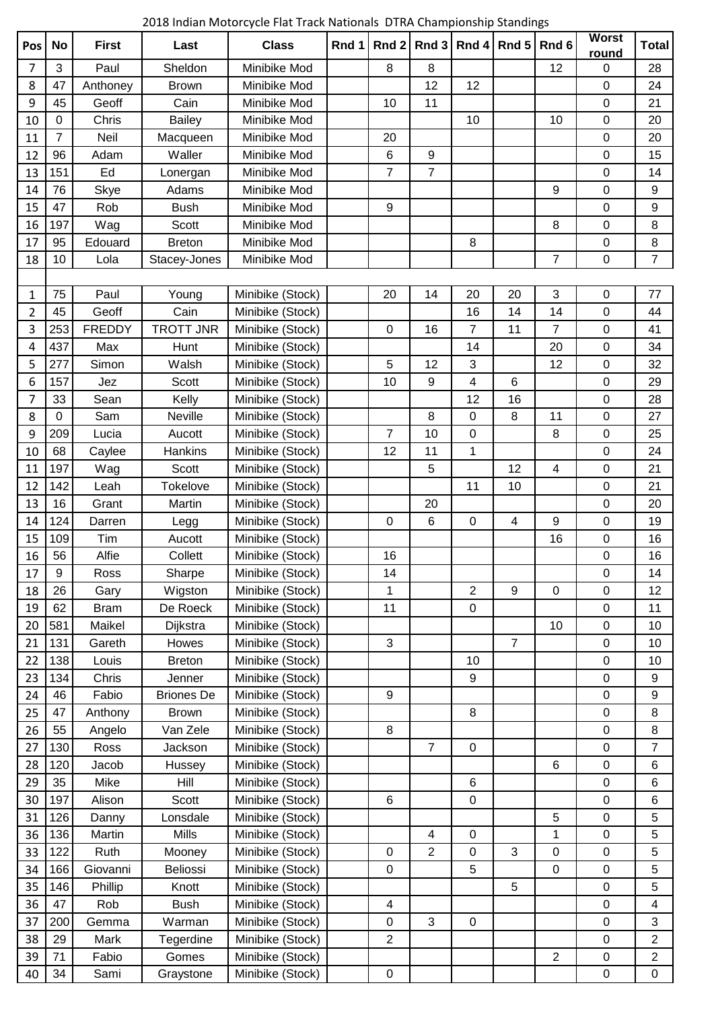2018 Indian Motorcycle Flat Track Nationals DTRA Championship Standings

| Pos            | <b>No</b>      | <b>First</b>  | Last              | <b>Class</b>     | Rnd 1 | Rnd 2          | Rnd 3                   | Rnd 4            | Rnd 5                    | Rnd 6            | <b>Worst</b><br>round | <b>Total</b>     |
|----------------|----------------|---------------|-------------------|------------------|-------|----------------|-------------------------|------------------|--------------------------|------------------|-----------------------|------------------|
| 7              | 3              | Paul          | Sheldon           | Minibike Mod     |       | $\, 8$         | 8                       |                  |                          | 12               | 0                     | 28               |
| 8              | 47             | Anthoney      | <b>Brown</b>      | Minibike Mod     |       |                | 12                      | 12               |                          |                  | $\mathbf 0$           | 24               |
| 9              | 45             | Geoff         | Cain              | Minibike Mod     |       | 10             | 11                      |                  |                          |                  | 0                     | 21               |
| 10             | 0              | Chris         | <b>Bailey</b>     | Minibike Mod     |       |                |                         | 10               |                          | 10               | 0                     | 20               |
| 11             | $\overline{7}$ | Neil          | Macqueen          | Minibike Mod     |       | 20             |                         |                  |                          |                  | 0                     | 20               |
| 12             | 96             | Adam          | Waller            | Minibike Mod     |       | $\,6\,$        | $\boldsymbol{9}$        |                  |                          |                  | $\mathbf 0$           | 15               |
| 13             | 151            | Ed            | Lonergan          | Minibike Mod     |       | $\overline{7}$ | $\overline{7}$          |                  |                          |                  | $\boldsymbol{0}$      | 14               |
| 14             | 76             | Skye          | Adams             | Minibike Mod     |       |                |                         |                  |                          | 9                | 0                     | 9                |
| 15             | 47             | Rob           | <b>Bush</b>       | Minibike Mod     |       | 9              |                         |                  |                          |                  | 0                     | 9                |
| 16             | 197            | Wag           | Scott             | Minibike Mod     |       |                |                         |                  |                          | 8                | 0                     | 8                |
| 17             | 95             | Edouard       | <b>Breton</b>     | Minibike Mod     |       |                |                         | 8                |                          |                  | 0                     | $\bf 8$          |
| 18             | 10             | Lola          | Stacey-Jones      | Minibike Mod     |       |                |                         |                  |                          | $\overline{7}$   | $\boldsymbol{0}$      | $\overline{7}$   |
|                |                |               |                   |                  |       |                |                         |                  |                          |                  |                       |                  |
| 1              | 75             | Paul          | Young             | Minibike (Stock) |       | 20             | 14                      | 20               | 20                       | 3                | $\boldsymbol{0}$      | 77               |
| $\overline{2}$ | 45             | Geoff         | Cain              | Minibike (Stock) |       |                |                         | 16               | 14                       | 14               | $\boldsymbol{0}$      | 44               |
| 3              | 253            | <b>FREDDY</b> | <b>TROTT JNR</b>  | Minibike (Stock) |       | $\mathbf 0$    | 16                      | $\overline{7}$   | 11                       | $\overline{7}$   | 0                     | 41               |
| 4              | 437            | Max           | Hunt              | Minibike (Stock) |       |                |                         | 14               |                          | 20               | 0                     | 34               |
| 5              | 277            | Simon         | Walsh             | Minibike (Stock) |       | 5              | 12                      | 3                |                          | 12               | $\mathbf 0$           | 32               |
| 6              | 157            | Jez           | Scott             | Minibike (Stock) |       | 10             | 9                       | 4                | 6                        |                  | 0                     | 29               |
| 7              | 33             | Sean          | Kelly             | Minibike (Stock) |       |                |                         | 12               | 16                       |                  | $\boldsymbol{0}$      | 28               |
| 8              | 0              | Sam           | Neville           | Minibike (Stock) |       |                | 8                       | $\mathbf 0$      | 8                        | 11               | $\mathbf 0$           | 27               |
| 9              | 209            | Lucia         | Aucott            | Minibike (Stock) |       | 7              | 10                      | $\pmb{0}$        |                          | 8                | 0                     | 25               |
| 10             | 68             | Caylee        | Hankins           | Minibike (Stock) |       | 12             | 11                      | 1                |                          |                  | 0                     | 24               |
| 11             | 197            | Wag           | Scott             | Minibike (Stock) |       |                | 5                       |                  | 12                       | 4                | 0                     | 21               |
| 12             | 142            | Leah          | Tokelove          | Minibike (Stock) |       |                |                         | 11               | 10                       |                  | $\boldsymbol{0}$      | 21               |
| 13             | 16             | Grant         | Martin            | Minibike (Stock) |       |                | 20                      |                  |                          |                  | 0                     | 20               |
| 14             | 124            | Darren        | Legg              | Minibike (Stock) |       | $\pmb{0}$      | 6                       | $\mathsf 0$      | $\overline{\mathcal{A}}$ | 9                | $\boldsymbol{0}$      | 19               |
| 15             | 109            | Tim           | Aucott            | Minibike (Stock) |       |                |                         |                  |                          | 16               | 0                     | 16               |
| 16             | 56             | Alfie         | Collett           | Minibike (Stock) |       | 16             |                         |                  |                          |                  | 0                     | 16               |
| 17             | 9              | Ross          | Sharpe            | Minibike (Stock) |       | 14             |                         |                  |                          |                  | 0                     | 14               |
| 18             | 26             | Gary          | Wigston           | Minibike (Stock) |       | 1              |                         | $\overline{2}$   | $\boldsymbol{9}$         | $\boldsymbol{0}$ | $\boldsymbol{0}$      | 12               |
| 19             | 62             | <b>Bram</b>   | De Roeck          | Minibike (Stock) |       | 11             |                         | $\mathsf 0$      |                          |                  | $\boldsymbol{0}$      | 11               |
| 20             | 581            | Maikel        | Dijkstra          | Minibike (Stock) |       |                |                         |                  |                          | 10               | $\boldsymbol{0}$      | 10               |
| 21             | 131            | Gareth        | Howes             | Minibike (Stock) |       | $\mathbf{3}$   |                         |                  | $\overline{7}$           |                  | 0                     | 10               |
| 22             | 138            | Louis         | <b>Breton</b>     | Minibike (Stock) |       |                |                         | 10               |                          |                  | 0                     | 10               |
| 23             | 134            | Chris         | Jenner            | Minibike (Stock) |       |                |                         | $\boldsymbol{9}$ |                          |                  | 0                     | 9                |
| 24             | 46             | Fabio         | <b>Briones De</b> | Minibike (Stock) |       | $9\,$          |                         |                  |                          |                  | $\mathbf 0$           | $\boldsymbol{9}$ |
| 25             | 47             | Anthony       | <b>Brown</b>      | Minibike (Stock) |       |                |                         | 8                |                          |                  | 0                     | 8                |
| 26             | 55             | Angelo        | Van Zele          | Minibike (Stock) |       | 8              |                         |                  |                          |                  | 0                     | 8                |
| 27             | 130            | Ross          | Jackson           | Minibike (Stock) |       |                | $\overline{7}$          | $\mathbf 0$      |                          |                  | $\mathbf 0$           | $\overline{7}$   |
| 28             | 120            | Jacob         | Hussey            | Minibike (Stock) |       |                |                         |                  |                          | 6                | 0                     | 6                |
| 29             | 35             | Mike          | Hill              | Minibike (Stock) |       |                |                         | $6\phantom{1}$   |                          |                  | 0                     | 6                |
| 30             | 197            | Alison        | Scott             | Minibike (Stock) |       | $\,6\,$        |                         | $\pmb{0}$        |                          |                  | 0                     | 6                |
| 31             | 126            | Danny         | Lonsdale          | Minibike (Stock) |       |                |                         |                  |                          | 5                | $\boldsymbol{0}$      | 5                |
| 36             | 136            | Martin        | <b>Mills</b>      | Minibike (Stock) |       |                | $\overline{\mathbf{4}}$ | $\pmb{0}$        |                          | $\mathbf 1$      | $\boldsymbol{0}$      | 5                |
| 33             | 122            | Ruth          | Mooney            | Minibike (Stock) |       | $\pmb{0}$      | $\overline{2}$          | $\pmb{0}$        | 3                        | $\pmb{0}$        | $\boldsymbol{0}$      | 5                |
| 34             | 166            | Giovanni      | Beliossi          | Minibike (Stock) |       | 0              |                         | 5                |                          | $\pmb{0}$        | 0                     | 5                |
| 35             | 146            | Phillip       | Knott             | Minibike (Stock) |       |                |                         |                  | 5                        |                  | 0                     | 5                |
| 36             | 47             | Rob           | <b>Bush</b>       | Minibike (Stock) |       | 4              |                         |                  |                          |                  | $\mathbf 0$           | 4                |
| 37             | 200            | Gemma         | Warman            | Minibike (Stock) |       | $\mathbf 0$    | 3                       | $\mathsf 0$      |                          |                  | $\boldsymbol{0}$      | 3                |
| 38             | 29             | Mark          | Tegerdine         | Minibike (Stock) |       | $\overline{2}$ |                         |                  |                          |                  | $\pmb{0}$             | $\overline{2}$   |
| 39             | 71             | Fabio         | Gomes             | Minibike (Stock) |       |                |                         |                  |                          | $\overline{c}$   | 0                     | $\overline{2}$   |
| 40             | 34             | Sami          | Graystone         | Minibike (Stock) |       | $\pmb{0}$      |                         |                  |                          |                  | $\pmb{0}$             | $\pmb{0}$        |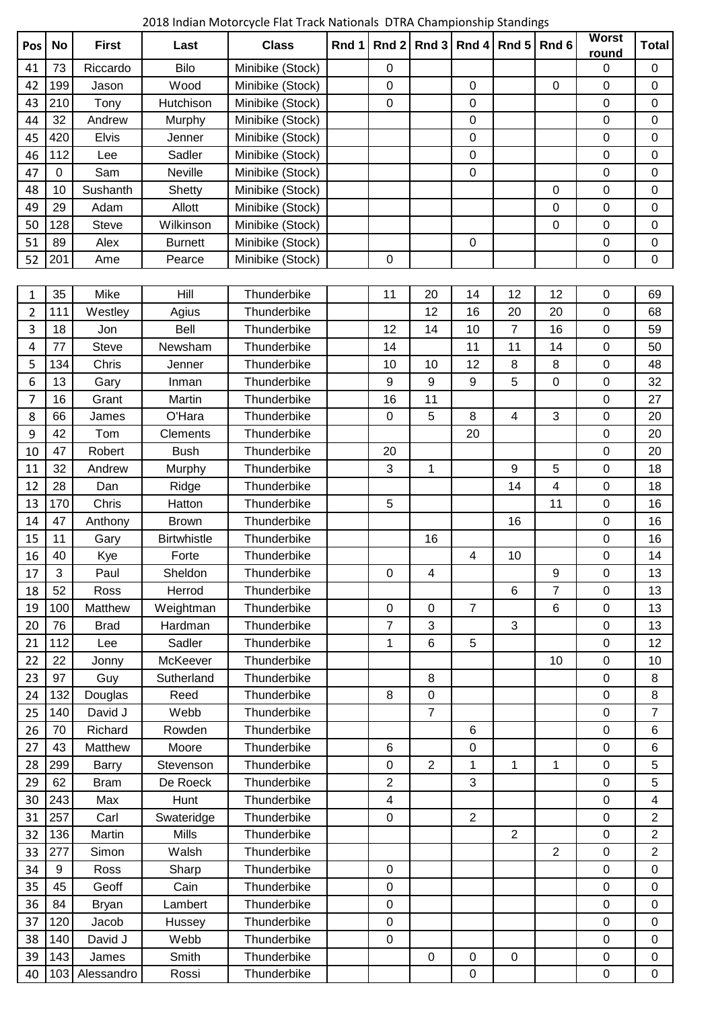2018 Indian Motorcycle Flat Track Nationals DTRA Championship Standings

| Pos | <b>No</b> | <b>First</b> | Last               | <b>Class</b>     | Rnd 1 | Rnd $2$        | Rnd 3          | Rnd 4          | Rnd 5           | Rnd <sub>6</sub> | <b>Worst</b>     | <b>Total</b>     |
|-----|-----------|--------------|--------------------|------------------|-------|----------------|----------------|----------------|-----------------|------------------|------------------|------------------|
| 41  | 73        | Riccardo     | Bilo               | Minibike (Stock) |       | 0              |                |                |                 |                  | round<br>0       | 0                |
| 42  | 199       | Jason        | Wood               | Minibike (Stock) |       | 0              |                | $\mathbf 0$    |                 | $\Omega$         | $\overline{0}$   | $\overline{0}$   |
| 43  | 210       | Tony         | Hutchison          | Minibike (Stock) |       | 0              |                | $\pmb{0}$      |                 |                  | $\pmb{0}$        | 0                |
| 44  | 32        | Andrew       | Murphy             | Minibike (Stock) |       |                |                | $\mathbf 0$    |                 |                  | $\mathbf 0$      | 0                |
| 45  | 420       | <b>Elvis</b> | Jenner             | Minibike (Stock) |       |                |                | $\mathbf 0$    |                 |                  | 0                | $\mathbf 0$      |
| 46  | 112       | Lee          | Sadler             | Minibike (Stock) |       |                |                | 0              |                 |                  | 0                | 0                |
| 47  | 0         | Sam          | Neville            | Minibike (Stock) |       |                |                | 0              |                 |                  | 0                | $\mathbf 0$      |
| 48  | 10        | Sushanth     | Shetty             | Minibike (Stock) |       |                |                |                |                 | 0                | 0                | $\mathbf 0$      |
| 49  | 29        | Adam         | Allott             | Minibike (Stock) |       |                |                |                |                 | $\mathbf 0$      | $\mathbf 0$      | $\mathbf 0$      |
| 50  | 128       | <b>Steve</b> | Wilkinson          | Minibike (Stock) |       |                |                |                |                 | 0                | $\mathbf 0$      | $\mathbf 0$      |
| 51  | 89        | Alex         | <b>Burnett</b>     | Minibike (Stock) |       |                |                | $\mathbf 0$    |                 |                  | $\pmb{0}$        | $\boldsymbol{0}$ |
| 52  | 201       | Ame          | Pearce             | Minibike (Stock) |       | 0              |                |                |                 |                  | 0                | $\boldsymbol{0}$ |
|     |           |              |                    |                  |       |                |                |                |                 |                  |                  |                  |
| 1   | 35        | Mike         | Hill               | Thunderbike      |       | 11             | 20             | 14             | 12              | 12               | 0                | 69               |
| 2   | 111       | Westley      | Agius              | Thunderbike      |       |                | 12             | 16             | 20              | 20               | $\mathbf 0$      | 68               |
| 3   | 18        | Jon          | Bell               | Thunderbike      |       | 12             | 14             | 10             | $\overline{7}$  | 16               | $\mathbf 0$      | 59               |
| 4   | 77        | Steve        | Newsham            | Thunderbike      |       | 14             |                | 11             | 11              | 14               | 0                | 50               |
| 5   | 134       | Chris        | Jenner             | Thunderbike      |       | 10             | 10             | 12             | 8               | 8                | $\boldsymbol{0}$ | 48               |
| 6   | 13        | Gary         | Inman              | Thunderbike      |       | 9              | 9              | 9              | 5               | $\mathbf 0$      | 0                | 32               |
| 7   | 16        | Grant        | Martin             | Thunderbike      |       | 16             | 11             |                |                 |                  | 0                | 27               |
| 8   | 66        | James        | O'Hara             | Thunderbike      |       | $\mathbf 0$    | 5              | 8              | $\overline{4}$  | 3                | $\mathbf 0$      | 20               |
| 9   | 42        | Tom          | Clements           | Thunderbike      |       |                |                | 20             |                 |                  | $\boldsymbol{0}$ | 20               |
| 10  | 47        | Robert       | <b>Bush</b>        | Thunderbike      |       | 20             |                |                |                 |                  | $\mathbf 0$      | 20               |
| 11  | 32        | Andrew       | Murphy             | Thunderbike      |       | 3              | $\mathbf{1}$   |                | 9               | 5                | 0                | 18               |
| 12  | 28        | Dan          | Ridge              | Thunderbike      |       |                |                |                | 14              | 4                | 0                | 18               |
| 13  | 170       | Chris        | Hatton             | Thunderbike      |       | 5              |                |                |                 | 11               | 0                | 16               |
| 14  | 47        | Anthony      | <b>Brown</b>       | Thunderbike      |       |                |                |                | 16              |                  | 0                | 16               |
| 15  | 11        | Gary         | <b>Birtwhistle</b> | Thunderbike      |       |                | 16             |                |                 |                  | $\boldsymbol{0}$ | 16               |
| 16  | 40        | Kye          | Forte              | Thunderbike      |       |                |                | 4              | 10              |                  | $\pmb{0}$        | 14               |
| 17  | 3         | Paul         | Sheldon            | Thunderbike      |       | $\mathsf 0$    | 4              |                |                 | 9                | $\pmb{0}$        | 13               |
| 18  | 52        | Ross         | Herrod             | Thunderbike      |       |                |                |                | $6\phantom{1}6$ | $\overline{7}$   | $\mathbf 0$      | 13               |
| 19  | 100       | Matthew      | Weightman          | Thunderbike      |       | 0              | $\mathbf 0$    | $\overline{7}$ |                 | $\,6$            | $\mathbf 0$      | 13               |
| 20  | 76        | <b>Brad</b>  | Hardman            | Thunderbike      |       | $\overline{7}$ | 3              |                | 3               |                  | $\mathbf 0$      | 13               |
| 21  | 112       | Lee          | Sadler             | Thunderbike      |       | 1              | 6              | 5              |                 |                  | $\boldsymbol{0}$ | 12               |
| 22  | 22        | Jonny        | McKeever           | Thunderbike      |       |                |                |                |                 | 10               | $\mathbf 0$      | 10               |
| 23  | 97        | Guy          | Sutherland         | Thunderbike      |       |                | 8              |                |                 |                  | $\pmb{0}$        | 8                |
| 24  | 132       | Douglas      | Reed               | Thunderbike      |       | 8              | $\mathbf 0$    |                |                 |                  | $\boldsymbol{0}$ | 8                |
| 25  | 140       | David J      | Webb               | Thunderbike      |       |                | $\overline{7}$ |                |                 |                  | $\mathbf 0$      | $\overline{7}$   |
| 26  | 70        | Richard      | Rowden             | Thunderbike      |       |                |                | 6              |                 |                  | $\pmb{0}$        | 6                |
| 27  | 43        | Matthew      | Moore              | Thunderbike      |       | 6              |                | 0              |                 |                  | $\mathbf 0$      | $\,6\,$          |
| 28  | 299       | <b>Barry</b> | Stevenson          | Thunderbike      |       | $\pmb{0}$      | $\overline{2}$ | 1              | 1               | 1                | $\boldsymbol{0}$ | 5                |
| 29  | 62        | <b>Bram</b>  | De Roeck           | Thunderbike      |       | $\overline{2}$ |                | 3              |                 |                  | $\mathbf 0$      | $\overline{5}$   |
| 30  | 243       | Max          | Hunt               | Thunderbike      |       | 4              |                |                |                 |                  | $\mathbf 0$      | $\overline{4}$   |
| 31  | 257       | Carl         | Swateridge         | Thunderbike      |       | 0              |                | $\overline{2}$ |                 |                  | 0                | 2                |
| 32  | 136       | Martin       | <b>Mills</b>       | Thunderbike      |       |                |                |                | $\overline{2}$  |                  | $\pmb{0}$        | $\overline{2}$   |
| 33  | 277       | Simon        | Walsh              | Thunderbike      |       |                |                |                |                 | $\overline{2}$   | $\mathbf 0$      | $\overline{2}$   |
| 34  | 9         | Ross         | Sharp              | Thunderbike      |       | $\pmb{0}$      |                |                |                 |                  | $\mathbf 0$      | $\mathbf 0$      |
| 35  | 45        | Geoff        | Cain               | Thunderbike      |       | $\pmb{0}$      |                |                |                 |                  | $\pmb{0}$        | $\mathbf 0$      |
| 36  | 84        | <b>Bryan</b> | Lambert            | Thunderbike      |       | $\pmb{0}$      |                |                |                 |                  | $\boldsymbol{0}$ | $\mathbf 0$      |
| 37  | 120       | Jacob        | Hussey             | Thunderbike      |       | 0              |                |                |                 |                  | $\mathbf 0$      | $\mathbf 0$      |
| 38  | 140       | David J      | Webb               | Thunderbike      |       | 0              |                |                |                 |                  | $\mathbf 0$      | 0                |
| 39  | 143       | James        | Smith              | Thunderbike      |       |                | $\mathbf 0$    | $\mathbf 0$    | $\mathbf 0$     |                  | $\boldsymbol{0}$ | $\mathbf 0$      |
| 40  | 103       | Alessandro   | Rossi              | Thunderbike      |       |                |                | $\pmb{0}$      |                 |                  | $\mathsf 0$      | $\mathsf 0$      |